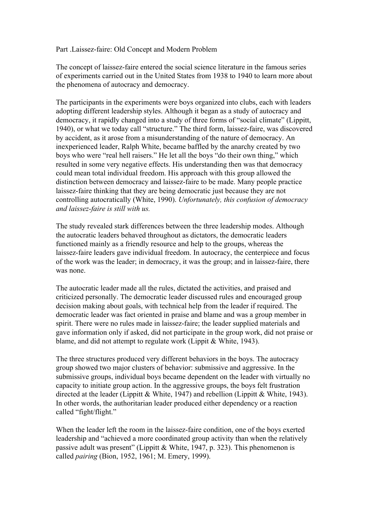## Part .Laissez-faire: Old Concept and Modern Problem

The concept of laissez-faire entered the social science literature in the famous series of experiments carried out in the United States from 1938 to 1940 to learn more about the phenomena of autocracy and democracy.

The participants in the experiments were boys organized into clubs, each with leaders adopting different leadership styles. Although it began as a study of autocracy and democracy, it rapidly changed into a study of three forms of "social climate" (Lippitt, 1940), or what we today call "structure." The third form, laissez-faire, was discovered by accident, as it arose from a misunderstanding of the nature of democracy. An inexperienced leader, Ralph White, became baffled by the anarchy created by two boys who were "real hell raisers." He let all the boys "do their own thing," which resulted in some very negative effects. His understanding then was that democracy could mean total individual freedom. His approach with this group allowed the distinction between democracy and laissez-faire to be made. Many people practice laissez-faire thinking that they are being democratic just because they are not controlling autocratically (White, 1990). *Unfortunately, this confusion of democracy and laissez-faire is still with us.*

The study revealed stark differences between the three leadership modes. Although the autocratic leaders behaved throughout as dictators, the democratic leaders functioned mainly as a friendly resource and help to the groups, whereas the laissez-faire leaders gave individual freedom. In autocracy, the centerpiece and focus of the work was the leader; in democracy, it was the group; and in laissez-faire, there was none.

The autocratic leader made all the rules, dictated the activities, and praised and criticized personally. The democratic leader discussed rules and encouraged group decision making about goals, with technical help from the leader if required. The democratic leader was fact oriented in praise and blame and was a group member in spirit. There were no rules made in laissez-faire; the leader supplied materials and gave information only if asked, did not participate in the group work, did not praise or blame, and did not attempt to regulate work (Lippit & White, 1943).

The three structures produced very different behaviors in the boys. The autocracy group showed two major clusters of behavior: submissive and aggressive. In the submissive groups, individual boys became dependent on the leader with virtually no capacity to initiate group action. In the aggressive groups, the boys felt frustration directed at the leader (Lippitt & White, 1947) and rebellion (Lippitt & White, 1943). In other words, the authoritarian leader produced either dependency or a reaction called "fight/flight."

When the leader left the room in the laissez-faire condition, one of the boys exerted leadership and "achieved a more coordinated group activity than when the relatively passive adult was present" (Lippitt & White, 1947, p. 323). This phenomenon is called *pairing* (Bion, 1952, 1961; M. Emery, 1999).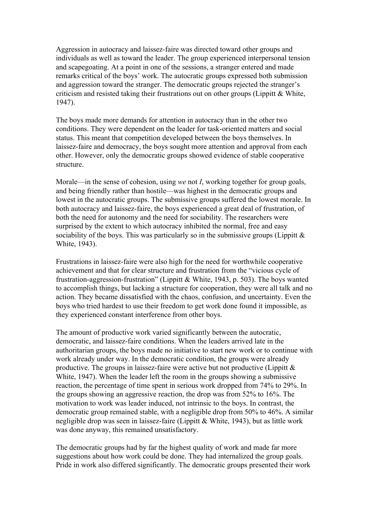Aggression in autocracy and laissez-faire was directed toward other groups and individuals as well as toward the leader. The group experienced interpersonal tension and scapegoating. At a point in one of the sessions, a stranger entered and made remarks critical of the boys' work. The autocratic groups expressed both submission and aggression toward the stranger. The democratic groups rejected the stranger's criticism and resisted taking their frustrations out on other groups (Lippitt  $\&$  White, 1947).

The boys made more demands for attention in autocracy than in the other two conditions. They were dependent on the leader for task-oriented matters and social status. This meant that competition developed between the boys themselves. In laissez-faire and democracy, the boys sought more attention and approval from each other. However, only the democratic groups showed evidence of stable cooperative structure.

Morale—in the sense of cohesion, using *we* not *I*, working together for group goals, and being friendly rather than hostile—was highest in the democratic groups and lowest in the autocratic groups. The submissive groups suffered the lowest morale. In both autocracy and laissez-faire, the boys experienced a great deal of frustration, of both the need for autonomy and the need for sociability. The researchers were surprised by the extent to which autocracy inhibited the normal, free and easy sociability of the boys. This was particularly so in the submissive groups (Lippitt  $\&$ White, 1943).

Frustrations in laissez-faire were also high for the need for worthwhile cooperative achievement and that for clear structure and frustration from the "vicious cycle of frustration-aggression-frustration" (Lippitt & White, 1943, p. 503). The boys wanted to accomplish things, but lacking a structure for cooperation, they were all talk and no action. They became dissatisfied with the chaos, confusion, and uncertainty. Even the boys who tried hardest to use their freedom to get work done found it impossible, as they experienced constant interference from other boys.

The amount of productive work varied significantly between the autocratic, democratic, and laissez-faire conditions. When the leaders arrived late in the authoritarian groups, the boys made no initiative to start new work or to continue with work already under way. In the democratic condition, the groups were already productive. The groups in laissez-faire were active but not productive (Lippitt & White, 1947). When the leader left the room in the groups showing a submissive reaction, the percentage of time spent in serious work dropped from 74% to 29%. In the groups showing an aggressive reaction, the drop was from 52% to 16%. The motivation to work was leader induced, not intrinsic to the boys. In contrast, the democratic group remained stable, with a negligible drop from 50% to 46%. A similar negligible drop was seen in laissez-faire (Lippitt & White, 1943), but as little work was done anyway, this remained unsatisfactory.

The democratic groups had by far the highest quality of work and made far more suggestions about how work could be done. They had internalized the group goals. Pride in work also differed significantly. The democratic groups presented their work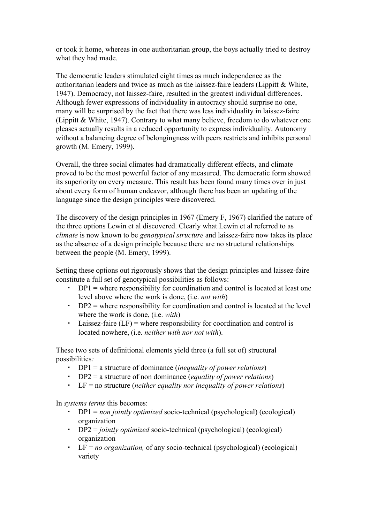or took it home, whereas in one authoritarian group, the boys actually tried to destroy what they had made.

The democratic leaders stimulated eight times as much independence as the authoritarian leaders and twice as much as the laissez-faire leaders (Lippitt  $&$  White, 1947). Democracy, not laissez-faire, resulted in the greatest individual differences. Although fewer expressions of individuality in autocracy should surprise no one, many will be surprised by the fact that there was less individuality in laissez-faire (Lippitt & White, 1947). Contrary to what many believe, freedom to do whatever one pleases actually results in a reduced opportunity to express individuality. Autonomy without a balancing degree of belongingness with peers restricts and inhibits personal growth (M. Emery, 1999).

Overall, the three social climates had dramatically different effects, and climate proved to be the most powerful factor of any measured. The democratic form showed its superiority on every measure. This result has been found many times over in just about every form of human endeavor, although there has been an updating of the language since the design principles were discovered.

The discovery of the design principles in 1967 (Emery F, 1967) clarified the nature of the three options Lewin et al discovered. Clearly what Lewin et al referred to as *climate* is now known to be *genotypical structure* and laissez-faire now takes its place as the absence of a design principle because there are no structural relationships between the people (M. Emery, 1999).

Setting these options out rigorously shows that the design principles and laissez-faire constitute a full set of genotypical possibilities as follows:

- $\cdot$  DP1 = where responsibility for coordination and control is located at least one level above where the work is done, (i.e. *not with*)
- $\cdot$  DP2 = where responsibility for coordination and control is located at the level where the work is done, (i.e. *with*)
- $\cdot$  Laissez-faire (LF) = where responsibility for coordination and control is located nowhere, (i.e. *neither with nor not with*).

These two sets of definitional elements yield three (a full set of) structural possibilities*:*

- DP1 = a structure of dominance (*inequality of power relations*)
- DP2 = a structure of non dominance (*equality of power relations*)
- LF = no structure (*neither equality nor inequality of power relations*)

In *systems terms* this becomes:

- DP1 = *non jointly optimized* socio-technical (psychological) (ecological) organization
- DP2 = *jointly optimized* socio-technical (psychological) (ecological) organization
- LF = *no organization,* of any socio-technical (psychological) (ecological) variety